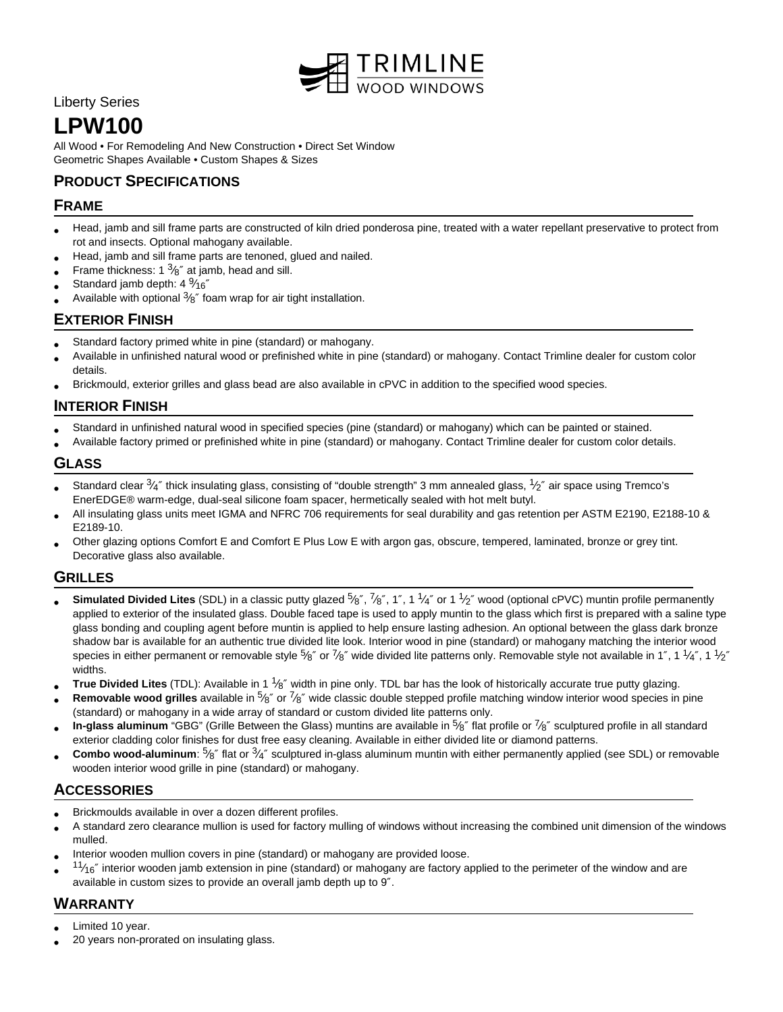

Liberty Series

# **LPW100**

All Wood • For Remodeling And New Construction • Direct Set Window Geometric Shapes Available • Custom Shapes & Sizes

# **PRODUCT SPECIFICATIONS**

## **FRAME**

- Head, jamb and sill frame parts are constructed of kiln dried ponderosa pine, treated with a water repellant preservative to protect from rot and insects. Optional mahogany available.
- Head, jamb and sill frame parts are tenoned, glued and nailed.
- Frame thickness: 1  $\frac{3}{8}$ " at jamb, head and sill.
- Standard jamb depth: 4 $\frac{9}{16}$ "
- Available with optional  $3/8$ " foam wrap for air tight installation.

## **EXTERIOR FINISH**

- Standard factory primed white in pine (standard) or mahogany.
- Available in unfinished natural wood or prefinished white in pine (standard) or mahogany. Contact Trimline dealer for custom color details.
- Brickmould, exterior grilles and glass bead are also available in cPVC in addition to the specified wood species.

# **INTERIOR FINISH**

- Standard in unfinished natural wood in specified species (pine (standard) or mahogany) which can be painted or stained.
- Available factory primed or prefinished white in pine (standard) or mahogany. Contact Trimline dealer for custom color details.

#### **GLASS**

- Standard clear  $34$ " thick insulating glass, consisting of "double strength" 3 mm annealed glass,  $1/2$ " air space using Tremco's EnerEDGE® warm-edge, dual-seal silicone foam spacer, hermetically sealed with hot melt butyl.
- All insulating glass units meet IGMA and NFRC 706 requirements for seal durability and gas retention per ASTM E2190, E2188-10 & E2189-10.
- Other glazing options Comfort E and Comfort E Plus Low E with argon gas, obscure, tempered, laminated, bronze or grey tint. Decorative glass also available.

#### **GRILLES**

- Simulated Divided Lites (SDL) in a classic putty glazed 5/8", 7/8", 1", 1 1/4" or 1 1/2" wood (optional cPVC) muntin profile permanently applied to exterior of the insulated glass. Double faced tape is used to apply muntin to the glass which first is prepared with a saline type glass bonding and coupling agent before muntin is applied to help ensure lasting adhesion. An optional between the glass dark bronze shadow bar is available for an authentic true divided lite look. Interior wood in pine (standard) or mahogany matching the interior wood species in either permanent or removable style  $^5$ %" or  $^7$ %" wide divided lite patterns only. Removable style not available in 1", 1  $^1\!4$ ", 1  $^1\!2$ " widths.
- **True Divided Lites** (TDL): Available in 1 <sup>1</sup>/8" width in pine only. TDL bar has the look of historically accurate true putty glazing.
- **Removable wood grilles** available in 5<sup>6</sup> or <sup>7</sup>/8" wide classic double stepped profile matching window interior wood species in pine (standard) or mahogany in a wide array of standard or custom divided lite patterns only.
- **In-glass aluminum** "GBG" (Grille Between the Glass) muntins are available in <sup>5</sup>/<sub>8</sub>" flat profile or <sup>7</sup>/8" sculptured profile in all standard exterior cladding color finishes for dust free easy cleaning. Available in either divided lite or diamond patterns.
- Combo wood-aluminum: 5<sup>k o</sup>f flat or 3<sup>k</sup> sculptured in-glass aluminum muntin with either permanently applied (see SDL) or removable wooden interior wood grille in pine (standard) or mahogany.

# **ACCESSORIES**

- Brickmoulds available in over a dozen different profiles.
- A standard zero clearance mullion is used for factory mulling of windows without increasing the combined unit dimension of the windows mulled.
- Interior wooden mullion covers in pine (standard) or mahogany are provided loose.
- $1/\gamma_6$ " interior wooden jamb extension in pine (standard) or mahogany are factory applied to the perimeter of the window and are available in custom sizes to provide an overall jamb depth up to 9″.

## **WARRANTY**

- Limited 10 year.
- 20 years non-prorated on insulating glass.